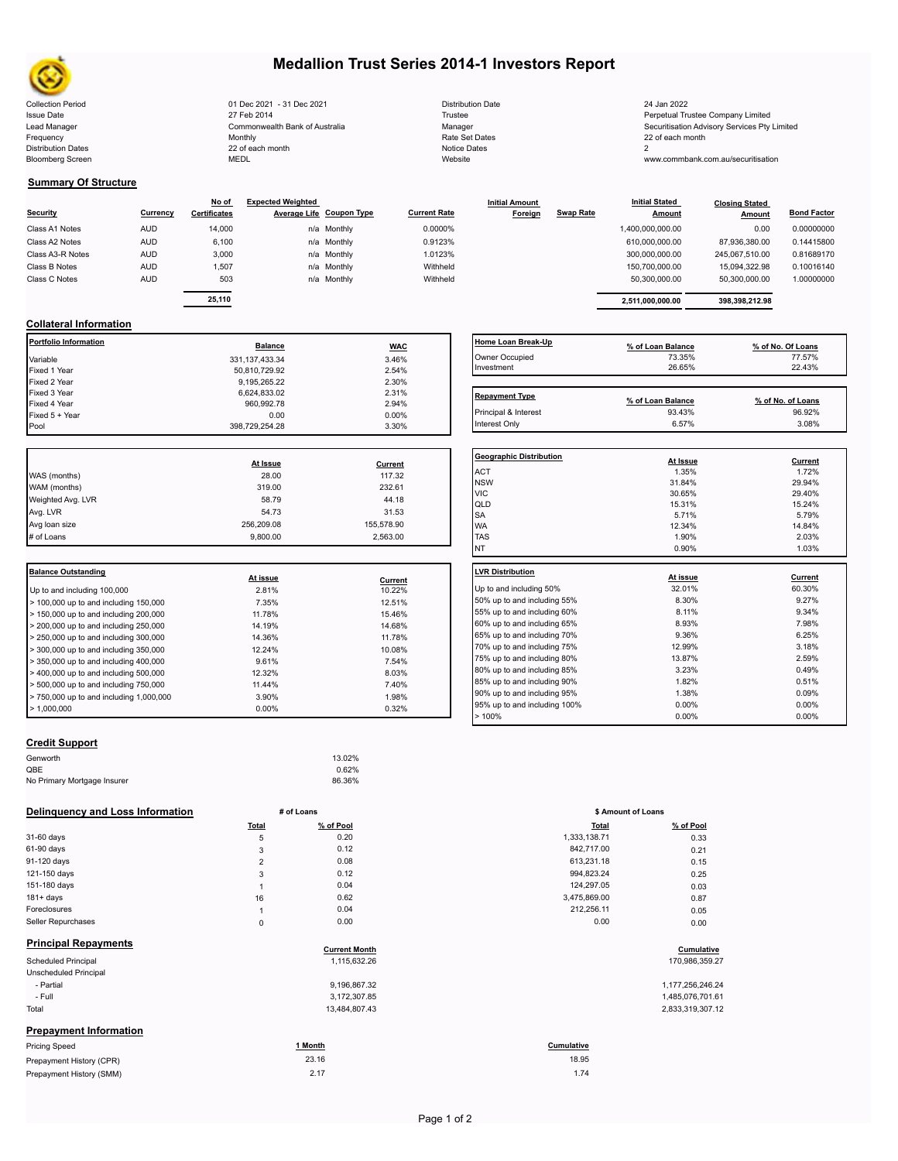

# **Medallion Trust Series 2014-1 Investors Report**

Collection Period 2012 1 01 Dec 2021 - 31 Dec 2021 2021 2021 Distribution Date 2021 24 Jan 2022 Issue Date 2014 27 Feb 2014 27 Feb 2014 27 Feb 2014 27 Feb 2014 27 Feb 2014 28 Feretual Trustee Company Limited Lead Manager **Commonwealth Bank of Australia** Manager Manager Manager Securitisation Advisory Services Pty Limited<br>The Rate Securitisation Commonwealth Bank of Australia Manager Rate Set Dates Securitisation Advisory Servi Frequency and the Monthly Monthly Monthly Rate Set Dates Rate Set Dates 22 of each month Distribution Dates 22 of each month Notice Dates 22 of each month Notice Dates 2 Bloomberg Screen MEDL Website www.commbank.com.au/securitisation

| <b>Distribution Date</b> |  |
|--------------------------|--|
| Trustee                  |  |
| Manager                  |  |
| Rate Set Dates           |  |
| Notice Dates             |  |
| Website                  |  |
|                          |  |

#### **Summary Of Structure**

|                  |            | No of               | <b>Expected Weighted</b> |                          |                     | <b>Initial Amount</b> |                  | <b>Initial Stated</b> | <b>Closing Stated</b> |                    |  |
|------------------|------------|---------------------|--------------------------|--------------------------|---------------------|-----------------------|------------------|-----------------------|-----------------------|--------------------|--|
| Security         | Currency   | <b>Certificates</b> |                          | Average Life Coupon Type | <b>Current Rate</b> | Foreign               | <b>Swap Rate</b> | <b>Amount</b>         | Amount                | <b>Bond Factor</b> |  |
| Class A1 Notes   | <b>AUD</b> | 14.000              |                          | n/a Monthly              | 0.0000%             |                       |                  | 1,400,000,000.00      | 0.00                  | 0.00000000         |  |
| Class A2 Notes   | <b>AUD</b> | 6,100               |                          | n/a Monthly              | 0.9123%             |                       |                  | 610.000.000.00        | 87.936.380.00         | 0.14415800         |  |
| Class A3-R Notes | <b>AUD</b> | 3,000               |                          | n/a Monthly              | 1.0123%             |                       |                  | 300,000,000.00        | 245.067.510.00        | 0.81689170         |  |
| Class B Notes    | <b>AUD</b> | 1.507               |                          | n/a Monthly              | Withheld            |                       |                  | 150.700.000.00        | 15.094.322.98         | 0.10016140         |  |
| Class C Notes    | <b>AUD</b> | 503                 |                          | n/a Monthly              | Withheld            |                       |                  | 50,300,000.00         | 50,300,000.00         | 1.00000000         |  |
|                  |            | -- ---              |                          |                          |                     |                       |                  |                       |                       |                    |  |

|          | No of               | <b>Expected Weighted</b> |                          |                     | <b>Initial Amount</b> |           | <b>Initial Stated</b> | <b>Closing Stated</b> |                    |  |
|----------|---------------------|--------------------------|--------------------------|---------------------|-----------------------|-----------|-----------------------|-----------------------|--------------------|--|
| Currencv | <b>Certificates</b> |                          | Average Life Coupon Type | <b>Current Rate</b> | Foreign               | Swap Rate | <b>Amount</b>         | Amount                | <b>Bond Factor</b> |  |
| AUD.     | 14.000              |                          | n/a Monthly              | 0.0000%             |                       |           | 1,400,000,000.00      | 0.00                  | 0.00000000         |  |
| AUD      | 6.100               |                          | n/a Monthly              | 0.9123%             |                       |           | 610.000.000.00        | 87.936.380.00         | 0.14415800         |  |
| AUD      | 3.000               |                          | n/a Monthly              | 1.0123%             |                       |           | 300.000.000.00        | 245.067.510.00        | 0.81689170         |  |
| AUD      | 1,507               |                          | n/a Monthly              | Withheld            |                       |           | 150.700.000.00        | 15.094.322.98         | 0.10016140         |  |
| AUD      | 503                 |                          | n/a Monthly              | Withheld            |                       |           | 50.300.000.00         | 50.300.000.00         | 1.00000000         |  |
|          |                     |                          |                          |                     |                       |           |                       |                       |                    |  |
|          | 25.110              |                          |                          |                     |                       |           | 2.511.000.000.00      | 398.398.212.98        |                    |  |

#### **Collateral Information**

| Portfolio Information | <b>Balance</b>    | <b>WAC</b> | Home Loan Break-Up    | % of Loan Balance | % of No. Of Loans |
|-----------------------|-------------------|------------|-----------------------|-------------------|-------------------|
| Variable              | 331, 137, 433. 34 | 3.46%      | Owner Occupied        | 73.35%            | 77.57%            |
| Fixed 1 Year          | 50,810,729.92     | 2.54%      | Investment            | 26.65%            | 22.43%            |
| Fixed 2 Year          | 9,195,265.22      | 2.30%      |                       |                   |                   |
| Fixed 3 Year          | 6,624,833.02      | 2.31%      | <b>Repayment Type</b> |                   |                   |
| Fixed 4 Year          | 960,992.78        | 2.94%      |                       | % of Loan Balance | % of No. of Loans |
| Fixed 5 + Year        | 0.00              | $0.00\%$   | Principal & Interest  | 93.43%            | 96.92%            |
| Pool                  | 398.729.254.28    | 3.30%      | Interest Only         | 6.57%             | 3.08%             |

|                   |            |            | Geo              |
|-------------------|------------|------------|------------------|
|                   | At Issue   | Current    |                  |
| WAS (months)      | 28.00      | 117.32     | AC <sup>-</sup>  |
| WAM (months)      | 319.00     | 232.61     | <b>NS</b><br>VIC |
| Weighted Avg. LVR | 58.79      | 44.18      | QLI              |
| Avg. LVR          | 54.73      | 31.53      | <b>SA</b>        |
| Avg loan size     | 256.209.08 | 155.578.90 | <b>WA</b>        |
| # of Loans        | 9.800.00   | 2,563.00   | <b>TAS</b>       |
|                   |            |            |                  |

| Balance Outstanding                                       |          |         | LVR Distribution    |
|-----------------------------------------------------------|----------|---------|---------------------|
|                                                           | At issue | Current |                     |
| Up to and including 100,000                               | 2.81%    | 10.22%  | Up to and including |
| $>$ 100,000 up to and including 150,000                   | 7.35%    | 12.51%  | 50% up to and incl  |
| $>$ 150,000 up to and including 200,000                   | 11.78%   | 15.46%  | 55% up to and incl  |
| $>$ 200,000 up to and including 250,000                   | 14.19%   | 14.68%  | 60% up to and incl  |
| $\geq$ 250,000 up to and including 300,000                | 14.36%   | 11.78%  | 65% up to and incl  |
| $\geq$ 300,000 up to and including 350,000                | 12.24%   | 10.08%  | 70% up to and incl  |
| $\blacktriangleright$ 350,000 up to and including 400,000 | 9.61%    | 7.54%   | 75% up to and incl  |
| $>$ 400,000 up to and including 500,000                   | 12.32%   | 8.03%   | 80% up to and incl  |
| $\geq 500,000$ up to and including 750,000                | 11.44%   | 7.40%   | 85% up to and incl  |
| $> 750,000$ up to and including 1,000,000                 | 3.90%    | 1.98%   | 90% up to and incl  |
| $\blacktriangleright$ 1.000.000                           | $0.00\%$ | 0.32%   | 95% up to and incl  |
|                                                           |          |         |                     |

## **Home Loan Break-Up**<br> **9% of Loan Balance 3.35%**<br>
Investment **and Structure 122.43%**<br>  $\frac{75.35\%}{22.43\%}$ Owner Occupied<br>Investment  $Investment$  26.65% 22.43% 20.43% **Repayment Type Repayment Type % of Loan Balance % of No. of Loans**

| <b>Geographic Distribution</b> | At Issue | Current |
|--------------------------------|----------|---------|
| ACT                            | 1.35%    | 1.72%   |
| <b>NSW</b>                     | 31.84%   | 29.94%  |
| <b>VIC</b>                     | 30.65%   | 29.40%  |
| QLD                            | 15.31%   | 15.24%  |
| <b>SA</b>                      | 5.71%    | 5.79%   |
| <b>WA</b>                      | 12.34%   | 14.84%  |
| <b>TAS</b>                     | 1.90%    | 2.03%   |
| NT                             | 0.90%    | 1.03%   |
|                                |          |         |
| <b>LVR Distribution</b>        | At issue | Current |
| Up to and including 50%        | 32.01%   | 60.30%  |
| 50% up to and including 55%    | 8.30%    | 9.27%   |
| 55% up to and including 60%    | 8.11%    | 9.34%   |
| 60% up to and including 65%    | 8.93%    | 7.98%   |
| 65% up to and including 70%    | 9.36%    | 6.25%   |
| 70% up to and including 75%    | 12.99%   | 3.18%   |
| 75% up to and including 80%    | 13.87%   | 2.59%   |
| 80% up to and including 85%    | 3.23%    | 0.49%   |
| 85% up to and including 90%    | 1.82%    | 0.51%   |
| 90% up to and including 95%    | 1.38%    | 0.09%   |
| 95% up to and including 100%   | 0.00%    | 0.00%   |
|                                |          |         |
| >100%                          | 0.00%    | 0.00%   |

## **Credit Support**

| 13.02% |
|--------|
| 0.62%  |
| 86.36% |
|        |

#### **Delinquency and Loss Information # of Loans**

|                               | Total          | % of Pool            | <b>Total</b> | % of Pool        |
|-------------------------------|----------------|----------------------|--------------|------------------|
| 31-60 days                    | 5              | 0.20                 | 1,333,138.71 | 0.33             |
| 61-90 days                    | 3              | 0.12                 | 842,717.00   | 0.21             |
| 91-120 days                   | $\overline{2}$ | 0.08                 | 613,231.18   | 0.15             |
| 121-150 days                  | 3              | 0.12                 | 994,823.24   | 0.25             |
| 151-180 days                  |                | 0.04                 | 124,297.05   | 0.03             |
| $181 + days$                  | 16             | 0.62                 | 3,475,869.00 | 0.87             |
| Foreclosures                  | $\overline{1}$ | 0.04                 | 212,256.11   | 0.05             |
| Seller Repurchases            | $\mathbf 0$    | 0.00                 | 0.00         | 0.00             |
| <b>Principal Repayments</b>   |                | <b>Current Month</b> |              | Cumulative       |
| <b>Scheduled Principal</b>    |                | 1,115,632.26         |              | 170,986,359.27   |
| Unscheduled Principal         |                |                      |              |                  |
| - Partial                     |                | 9,196,867.32         |              | 1,177,256,246.24 |
| - Full                        |                | 3,172,307.85         |              | 1,485,076,701.61 |
| Total                         |                | 13,484,807.43        |              | 2,833,319,307.12 |
| <b>Prepayment Information</b> |                |                      |              |                  |
| <b>Pricing Speed</b>          |                | 1 Month              | Cumulative   |                  |
| Prepayment History (CPR)      |                | 23.16                | 18.95        |                  |
| Prepayment History (SMM)      |                | 2.17                 | 1.74         |                  |

| # of Loans     |                                      | \$ Amount of Loans |                              |
|----------------|--------------------------------------|--------------------|------------------------------|
| Total          | % of Pool                            | <b>Total</b>       | % of Pool                    |
| 5              | 0.20                                 | 1,333,138.71       | 0.33                         |
| 3              | 0.12                                 | 842,717.00         | 0.21                         |
| $\overline{2}$ | 0.08                                 | 613,231.18         | 0.15                         |
| 3              | 0.12                                 | 994,823.24         | 0.25                         |
| 1              | 0.04                                 | 124,297.05         | 0.03                         |
| 16             | 0.62                                 | 3,475,869.00       | 0.87                         |
| 1              | 0.04                                 | 212,256.11         | 0.05                         |
| $\mathbf 0$    | 0.00                                 | 0.00               | 0.00                         |
|                | <b>Current Month</b><br>1,115,632.26 |                    | Cumulative<br>170,986,359.27 |
|                | 9.196.867.32                         |                    | 1.177.256.246.24             |

| . <i>.</i>       |
|------------------|
| 1,485,076,701.61 |
| 2,833,319,307.12 |

# 18.95

| Page 1 of 2 |  |
|-------------|--|